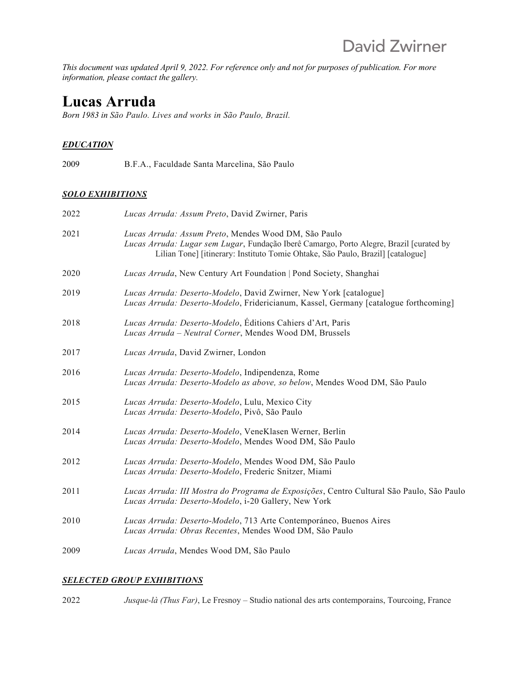*This document was updated April 9, 2022. For reference only and not for purposes of publication. For more information, please contact the gallery.*

# **Lucas Arruda**

*Born 1983 in São Paulo. Lives and works in São Paulo, Brazil.*

# *EDUCATION*

2009 B.F.A., Faculdade Santa Marcelina, São Paulo

# *SOLO EXHIBITIONS*

| Lucas Arruda: Assum Preto, David Zwirner, Paris                                                                                                                                                                                    |
|------------------------------------------------------------------------------------------------------------------------------------------------------------------------------------------------------------------------------------|
| Lucas Arruda: Assum Preto, Mendes Wood DM, São Paulo<br>Lucas Arruda: Lugar sem Lugar, Fundação Iberê Camargo, Porto Alegre, Brazil [curated by<br>Lilian Tone] [itinerary: Instituto Tomie Ohtake, São Paulo, Brazil] [catalogue] |
| Lucas Arruda, New Century Art Foundation   Pond Society, Shanghai                                                                                                                                                                  |
| Lucas Arruda: Deserto-Modelo, David Zwirner, New York [catalogue]<br>Lucas Arruda: Deserto-Modelo, Fridericianum, Kassel, Germany [catalogue forthcoming]                                                                          |
| Lucas Arruda: Deserto-Modelo, Éditions Cahiers d'Art, Paris<br>Lucas Arruda - Neutral Corner, Mendes Wood DM, Brussels                                                                                                             |
| Lucas Arruda, David Zwirner, London                                                                                                                                                                                                |
| Lucas Arruda: Deserto-Modelo, Indipendenza, Rome<br>Lucas Arruda: Deserto-Modelo as above, so below, Mendes Wood DM, São Paulo                                                                                                     |
| Lucas Arruda: Deserto-Modelo, Lulu, Mexico City<br>Lucas Arruda: Deserto-Modelo, Pivô, São Paulo                                                                                                                                   |
| Lucas Arruda: Deserto-Modelo, VeneKlasen Werner, Berlin<br>Lucas Arruda: Deserto-Modelo, Mendes Wood DM, São Paulo                                                                                                                 |
| Lucas Arruda: Deserto-Modelo, Mendes Wood DM, São Paulo<br>Lucas Arruda: Deserto-Modelo, Frederic Snitzer, Miami                                                                                                                   |
| Lucas Arruda: III Mostra do Programa de Exposições, Centro Cultural São Paulo, São Paulo<br>Lucas Arruda: Deserto-Modelo, i-20 Gallery, New York                                                                                   |
| Lucas Arruda: Deserto-Modelo, 713 Arte Contemporáneo, Buenos Aires<br>Lucas Arruda: Obras Recentes, Mendes Wood DM, São Paulo                                                                                                      |
| Lucas Arruda, Mendes Wood DM, São Paulo                                                                                                                                                                                            |
|                                                                                                                                                                                                                                    |

# *SELECTED GROUP EXHIBITIONS*

2022 *Jusque-là (Thus Far)*, Le Fresnoy – Studio national des arts contemporains, Tourcoing, France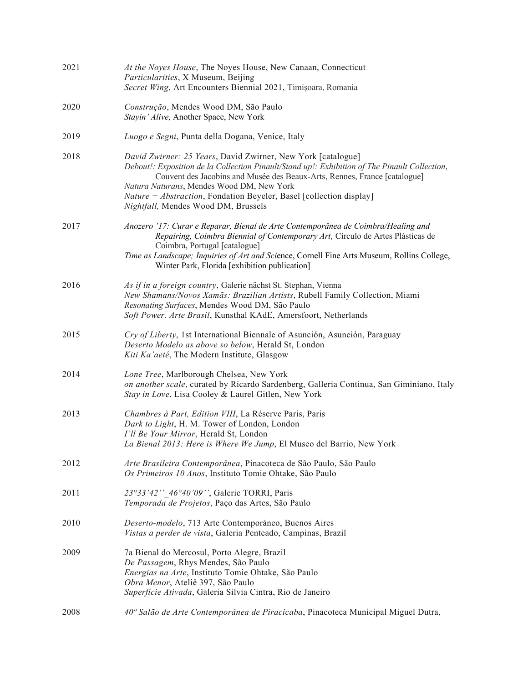| 2021 | At the Noyes House, The Noyes House, New Canaan, Connecticut<br>Particularities, X Museum, Beijing<br>Secret Wing, Art Encounters Biennial 2021, Timișoara, Romania                                                                                                                                                                                                                                                  |
|------|----------------------------------------------------------------------------------------------------------------------------------------------------------------------------------------------------------------------------------------------------------------------------------------------------------------------------------------------------------------------------------------------------------------------|
| 2020 | Construção, Mendes Wood DM, São Paulo<br>Stayin' Alive, Another Space, New York                                                                                                                                                                                                                                                                                                                                      |
| 2019 | Luogo e Segni, Punta della Dogana, Venice, Italy                                                                                                                                                                                                                                                                                                                                                                     |
| 2018 | David Zwirner: 25 Years, David Zwirner, New York [catalogue]<br>Debout!: Exposition de la Collection Pinault/Stand up!: Exhibition of The Pinault Collection,<br>Couvent des Jacobins and Musée des Beaux-Arts, Rennes, France [catalogue]<br>Natura Naturans, Mendes Wood DM, New York<br><i>Nature</i> + <i>Abstraction</i> , Fondation Beyeler, Basel [collection display]<br>Nightfall, Mendes Wood DM, Brussels |
| 2017 | Anozero '17: Curar e Reparar, Bienal de Arte Contemporânea de Coimbra/Healing and<br>Repairing, Coimbra Biennial of Contemporary Art, Círculo de Artes Plásticas de<br>Coimbra, Portugal [catalogue]<br>Time as Landscape; Inquiries of Art and Science, Cornell Fine Arts Museum, Rollins College,<br>Winter Park, Florida [exhibition publication]                                                                 |
| 2016 | As if in a foreign country, Galerie nächst St. Stephan, Vienna<br>New Shamans/Novos Xamãs: Brazilian Artists, Rubell Family Collection, Miami<br>Resonating Surfaces, Mendes Wood DM, São Paulo<br>Soft Power. Arte Brasil, Kunsthal KAdE, Amersfoort, Netherlands                                                                                                                                                   |
| 2015 | Cry of Liberty, 1st International Biennale of Asunción, Asunción, Paraguay<br>Deserto Modelo as above so below, Herald St, London<br>Kiti Ka'aeté, The Modern Institute, Glasgow                                                                                                                                                                                                                                     |
| 2014 | Lone Tree, Marlborough Chelsea, New York<br>on another scale, curated by Ricardo Sardenberg, Galleria Continua, San Giminiano, Italy<br>Stay in Love, Lisa Cooley & Laurel Gitlen, New York                                                                                                                                                                                                                          |
| 2013 | Chambres à Part, Edition VIII, La Réserve Paris, Paris<br>Dark to Light, H. M. Tower of London, London<br>I'll Be Your Mirror, Herald St, London<br>La Bienal 2013: Here is Where We Jump, El Museo del Barrio, New York                                                                                                                                                                                             |
| 2012 | Arte Brasileira Contemporânea, Pinacoteca de São Paulo, São Paulo<br>Os Primeiros 10 Anos, Instituto Tomie Ohtake, São Paulo                                                                                                                                                                                                                                                                                         |
| 2011 | 23°33'42" 46°40'09", Galerie TORRI, Paris<br>Temporada de Projetos, Paço das Artes, São Paulo                                                                                                                                                                                                                                                                                                                        |
| 2010 | Deserto-modelo, 713 Arte Contemporáneo, Buenos Aires<br>Vistas a perder de vista, Galeria Penteado, Campinas, Brazil                                                                                                                                                                                                                                                                                                 |
| 2009 | 7a Bienal do Mercosul, Porto Alegre, Brazil<br>De Passagem, Rhys Mendes, São Paulo<br>Energias na Arte, Instituto Tomie Ohtake, São Paulo<br>Obra Menor, Ateliê 397, São Paulo<br>Superfície Ativada, Galeria Silvia Cintra, Rio de Janeiro                                                                                                                                                                          |
| 2008 | 40° Salão de Arte Contemporânea de Piracicaba, Pinacoteca Municipal Miguel Dutra,                                                                                                                                                                                                                                                                                                                                    |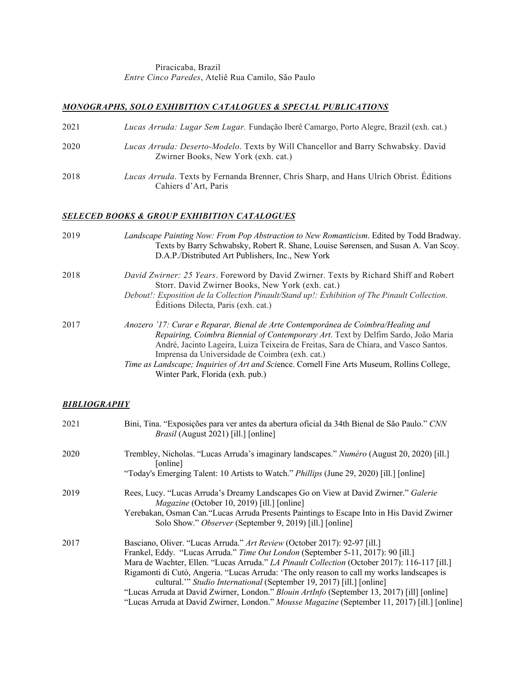#### Piracicaba, Brazil *Entre Cinco Paredes*, Ateliê Rua Camilo, São Paulo

### *MONOGRAPHS, SOLO EXHIBITION CATALOGUES & SPECIAL PUBLICATIONS*

| 2021 | Lucas Arruda: Lugar Sem Lugar. Fundação Iberê Camargo, Porto Alegre, Brazil (exh. cat.)                                         |
|------|---------------------------------------------------------------------------------------------------------------------------------|
| 2020 | <i>Lucas Arruda: Deserto-Modelo.</i> Texts by Will Chancellor and Barry Schwabsky. David<br>Zwirner Books, New York (exh. cat.) |
| 2018 | Lucas Arruda. Texts by Fernanda Brenner, Chris Sharp, and Hans Ulrich Obrist. Editions<br>Cahiers d'Art, Paris                  |

# *SELECED BOOKS & GROUP EXHIBITION CATALOGUES*

| 2019 | Landscape Painting Now: From Pop Abstraction to New Romanticism. Edited by Todd Bradway.<br>Texts by Barry Schwabsky, Robert R. Shane, Louise Sørensen, and Susan A. Van Scoy.<br>D.A.P./Distributed Art Publishers, Inc., New York                                                                                                                                                                                                                  |
|------|------------------------------------------------------------------------------------------------------------------------------------------------------------------------------------------------------------------------------------------------------------------------------------------------------------------------------------------------------------------------------------------------------------------------------------------------------|
| 2018 | David Zwirner: 25 Years. Foreword by David Zwirner. Texts by Richard Shiff and Robert<br>Storr. David Zwirner Books, New York (exh. cat.)<br>Debout!: Exposition de la Collection Pinault/Stand up!: Exhibition of The Pinault Collection.<br>Editions Dilecta, Paris (exh. cat.)                                                                                                                                                                    |
| 2017 | Anozero '17: Curar e Reparar, Bienal de Arte Contemporânea de Coimbra/Healing and<br>Repairing, Coimbra Biennial of Contemporary Art. Text by Delfim Sardo, João Maria<br>André, Jacinto Lageira, Luiza Teixeira de Freitas, Sara de Chiara, and Vasco Santos.<br>Imprensa da Universidade de Coimbra (exh. cat.)<br>Time as Landscape; Inquiries of Art and Science. Cornell Fine Arts Museum, Rollins College,<br>Winter Park, Florida (exh. pub.) |

#### *BIBLIOGRAPHY*

| 2021 | Bini, Tina. "Exposições para ver antes da abertura oficial da 34th Bienal de São Paulo." CNN<br><i>Brasil</i> (August 2021) [ill.] [online]                                                                                                                                                                                                                                                                                                                                                                                                                                                                                         |
|------|-------------------------------------------------------------------------------------------------------------------------------------------------------------------------------------------------------------------------------------------------------------------------------------------------------------------------------------------------------------------------------------------------------------------------------------------------------------------------------------------------------------------------------------------------------------------------------------------------------------------------------------|
| 2020 | Trembley, Nicholas. "Lucas Arruda's imaginary landscapes." Numéro (August 20, 2020) [ill.]<br>[online]<br>"Today's Emerging Talent: 10 Artists to Watch." <i>Phillips</i> (June 29, 2020) [ill.] [online]                                                                                                                                                                                                                                                                                                                                                                                                                           |
| 2019 | Rees, Lucy. "Lucas Arruda's Dreamy Landscapes Go on View at David Zwirner." Galerie<br><i>Magazine</i> (October 10, 2019) [ill.] [online]<br>Yerebakan, Osman Can. "Lucas Arruda Presents Paintings to Escape Into in His David Zwirner<br>Solo Show." Observer (September 9, 2019) [ill.] [online]                                                                                                                                                                                                                                                                                                                                 |
| 2017 | Basciano, Oliver. "Lucas Arruda." Art Review (October 2017): 92-97 [ill.]<br>Frankel, Eddy. "Lucas Arruda." Time Out London (September 5-11, 2017): 90 [ill.]<br>Mara de Wachter, Ellen. "Lucas Arruda." LA Pinault Collection (October 2017): 116-117 [ill.]<br>Rigamonti di Cutò, Angeria. "Lucas Arruda: 'The only reason to call my works landscapes is<br>cultural." Studio International (September 19, 2017) [ill.] [online]<br>"Lucas Arruda at David Zwirner, London." Blouin ArtInfo (September 13, 2017) [ill] [online]<br>"Lucas Arruda at David Zwirner, London." Mousse Magazine (September 11, 2017) [ill.] [online] |